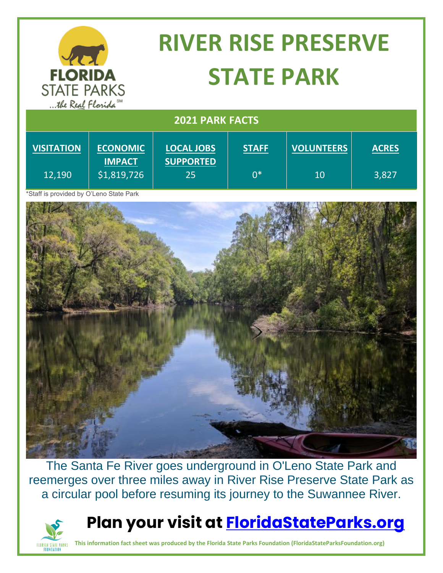| <b>FLORIDA</b><br><b>STATE PARKS</b><br>the Real Florida <sup>SM</sup> |                                  | <b>RIVER RISE PRESERVE</b><br><b>STATE PARK</b> |              |                   |              |
|------------------------------------------------------------------------|----------------------------------|-------------------------------------------------|--------------|-------------------|--------------|
| <b>2021 PARK FACTS</b>                                                 |                                  |                                                 |              |                   |              |
| <b>VISITATION</b>                                                      | <b>ECONOMIC</b><br><b>IMPACT</b> | <b>LOCAL JOBS</b><br><b>SUPPORTED</b>           | <b>STAFF</b> | <b>VOLUNTEERS</b> | <b>ACRES</b> |
| 12,190                                                                 | \$1,819,726                      | 25                                              | $0*$         | 10                | 3,827        |

\*Staff is provided by O'Leno State Park

FLORIDA STATE PARKS<br>FOUNDATION



The Santa Fe River goes underground in O'Leno State Park and reemerges over three miles away in River Rise Preserve State Park as a circular pool before resuming its journey to the Suwannee River.



**This information fact sheet was produced by the Florida State Parks Foundation (FloridaStateParksFoundation.org)**